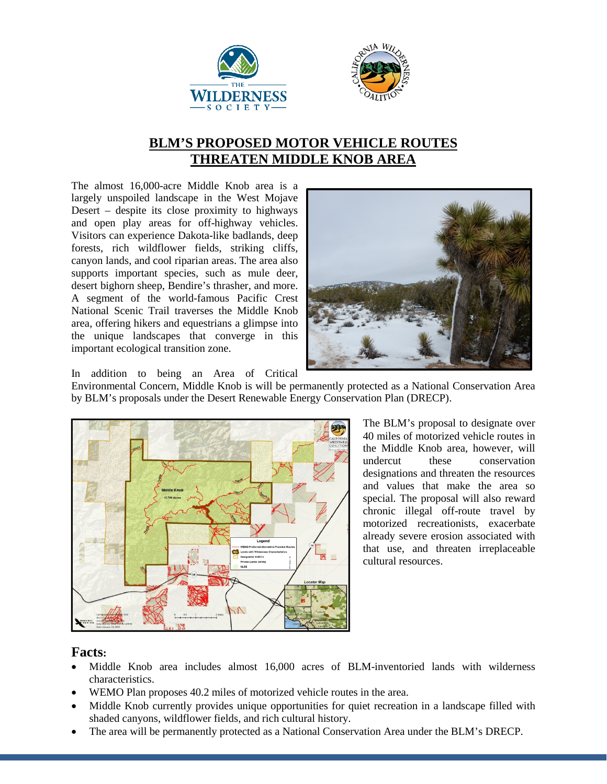



## **BLM'S PROPOSED MOTOR VEHICLE ROUTES THREATEN MIDDLE KNOB AREA**

The almost 16,000-acre Middle Knob area is a largely unspoiled landscape in the West Mojave Desert – despite its close proximity to highways and open play areas for off-highway vehicles. Visitors can experience Dakota-like badlands, deep forests, rich wildflower fields, striking cliffs, canyon lands, and cool riparian areas. The area also supports important species, such as mule deer, desert bighorn sheep, Bendire's thrasher, and more. A segment of the world-famous Pacific Crest National Scenic Trail traverses the Middle Knob area, offering hikers and equestrians a glimpse into the unique landscapes that converge in this important ecological transition zone.



In addition to being an Area of Critical

Environmental Concern, Middle Knob is will be permanently protected as a National Conservation Area by BLM's proposals under the Desert Renewable Energy Conservation Plan (DRECP).



The BLM's proposal to designate over 40 miles of motorized vehicle routes in the Middle Knob area, however, will undercut these conservation designations and threaten the resources and values that make the area so special. The proposal will also reward chronic illegal off-route travel by motorized recreationists, exacerbate already severe erosion associated with that use, and threaten irreplaceable cultural resources.

## **Facts:**

- Middle Knob area includes almost 16,000 acres of BLM-inventoried lands with wilderness characteristics.
- WEMO Plan proposes 40.2 miles of motorized vehicle routes in the area.
- Middle Knob currently provides unique opportunities for quiet recreation in a landscape filled with shaded canyons, wildflower fields, and rich cultural history.
- The area will be permanently protected as a National Conservation Area under the BLM's DRECP.